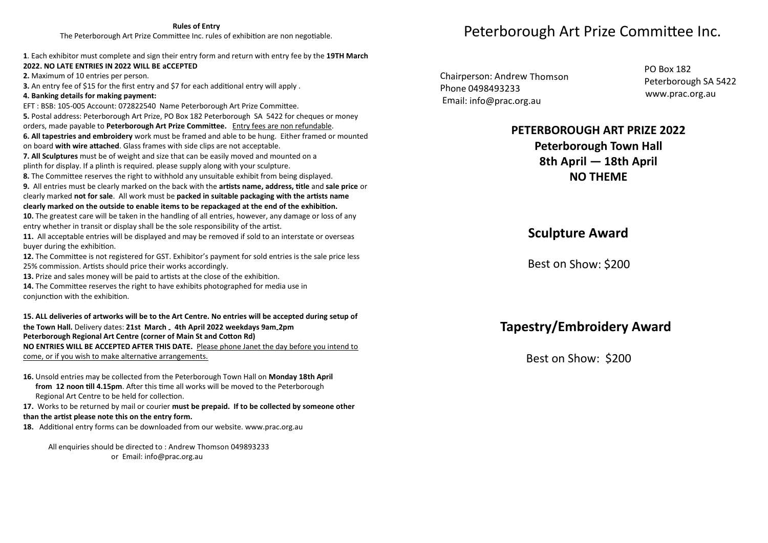### **Rules of Entry**

The Peterborough Art Prize Committee Inc. rules of exhibition are non negotiable.

#### **1**. Each exhibitor must complete and sign their entry form and return with entry fee by the **19TH March 2022. NO LATE ENTRIES IN 2022 WILL BE aCCEPTED**

**2.** Maximum of 10 entries per person.

**3.** An entry fee of \$15 for the first entry and \$7 for each additional entry will apply .

### **4. Banking details for making payment:**

EFT : BSB: 105-005 Account: 072822540 Name Peterborough Art Prize Committee. **5.** Postal address: Peterborough Art Prize, PO Box 182 Peterborough SA 5422 for cheques or money orders, made payable to **Peterborough Art Prize Committee.** Entry fees are non refundable. **6. All tapestries and embroidery** work must be framed and able to be hung. Either framed or mounted on board **with wire attached**. Glass frames with side clips are not acceptable.

**7. All Sculptures** must be of weight and size that can be easily moved and mounted on a

plinth for display. If a plinth is required. please supply along with your sculpture.

**8.** The Committee reserves the right to withhold any unsuitable exhibit from being displayed.

**9.** All entries must be clearly marked on the back with the **artists name, address, title** and **sale price** or clearly marked **not for sale**. All work must be **packed in suitable packaging with the artists name clearly marked on the outside to enable items to be repackaged at the end of the exhibition.**

**10.** The greatest care will be taken in the handling of all entries, however, any damage or loss of any entry whether in transit or display shall be the sole responsibility of the artist.

**11.** All acceptable entries will be displayed and may be removed if sold to an interstate or overseas buyer during the exhibition.

**12.** The Committee is not registered for GST. Exhibitor's payment for sold entries is the sale price less 25% commission. Artists should price their works accordingly.

**13.** Prize and sales money will be paid to artists at the close of the exhibition.

**14.** The Committee reserves the right to have exhibits photographed for media use in conjunction with the exhibition.

### 15. ALL deliveries of artworks will be to the Art Centre. No entries will be accepted during setup of **the Town Hall.** Delivery dates: **21st March - 4th April 2022 weekdays 9am-2pm Peterborough Regional Art Centre (corner of Main St and Cotton Rd) NO ENTRIES WILL BE ACCEPTED AFTER THIS DATE.** Please phone Janet the day before you intend to come, or if you wish to make alternative arrangements.

### **16.** Unsold entries may be collected from the Peterborough Town Hall on **Monday 18th April from 12 noon till 4.15pm**. After this time all works will be moved to the Peterborough Regional Art Centre to be held for collection.

**17.** Works to be returned by mail or courier **must be prepaid. If to be collected by someone other than the artist please note this on the entry form.**

**18.** Additional entry forms can be downloaded from our website. www.prac.org.au

All enquiries should be directed to : Andrew Thomson 049893233 or Email: info@prac.org.au

## Peterborough Art Prize Committee Inc.

Chairperson: Andrew Thomson Phone 0498493233 Email: info@prac.org.au

PO Box 182 Peterborough SA 5422 www.prac.org.au

### **PETERBOROUGH ART PRIZE 2022 Peterborough Town Hall 8th April — 18th April NO THEME**

## **Sculpture Award**

Best on Show: \$200

## **Tapestry/Embroidery Award**

Best on Show: \$200